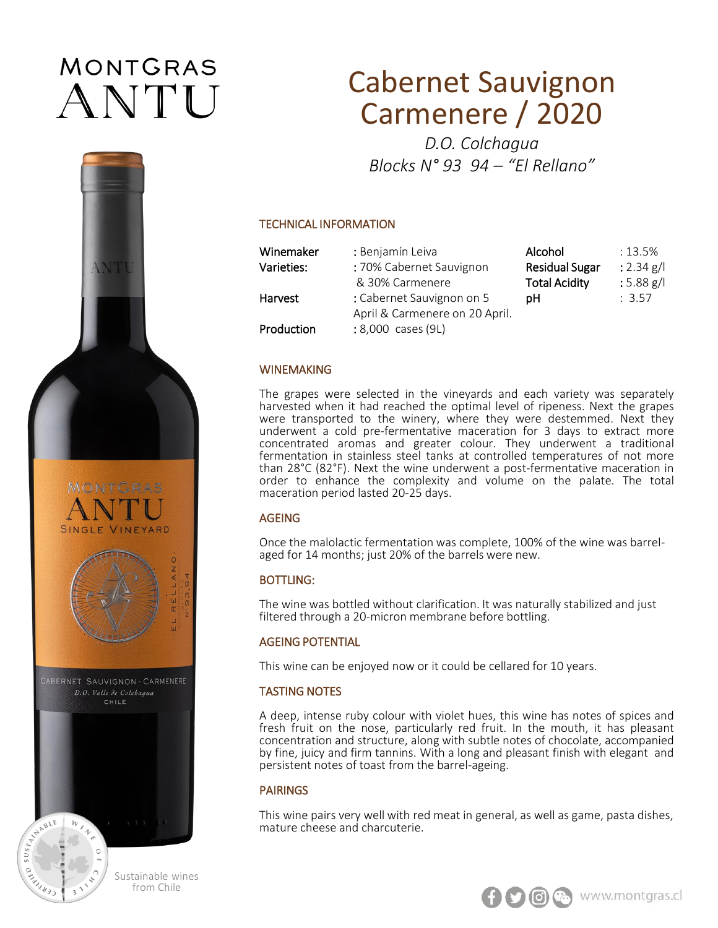# **MONTGRAS** ANTU



MBLE

 $W$ 

Sustainable wines from Chile

# Cabernet Sauvignon Carmenere / 2020

*D.O. Colchagua Blocks N° 93 94 – "El Rellano"*

#### TECHNICAL INFORMATION

| Winemaker  | : Benjamín Leiva               | Alcohol               | $:13.5\%$    |
|------------|--------------------------------|-----------------------|--------------|
| Varieties: | : 70% Cabernet Sauvignon       | <b>Residual Sugar</b> | : 2.34 g/l   |
|            | & 30% Carmenere                | <b>Total Acidity</b>  | $: 5.88$ g/l |
| Harvest    | : Cabernet Sauvignon on 5      | pН                    | : 3.57       |
|            | April & Carmenere on 20 April. |                       |              |
| Production | : 8,000 cases (9L)             |                       |              |

#### WINEMAKING

The grapes were selected in the vineyards and each variety was separately harvested when it had reached the optimal level of ripeness. Next the grapes were transported to the winery, where they were destemmed. Next they underwent a cold pre-fermentative maceration for 3 days to extract more concentrated aromas and greater colour. They underwent a traditional fermentation in stainless steel tanks at controlled temperatures of not more than 28°C (82°F). Next the wine underwent a post-fermentative maceration in order to enhance the complexity and volume on the palate. The total maceration period lasted 20-25 days.

# AGEING

Once the malolactic fermentation was complete, 100% of the wine was barrelaged for 14 months; just 20% of the barrels were new.

## BOTTLING:

The wine was bottled without clarification. It was naturally stabilized and just filtered through a 20-micron membrane before bottling.

## AGEING POTENTIAL

This wine can be enjoyed now or it could be cellared for 10 years.

## TASTING NOTES

A deep, intense ruby colour with violet hues, this wine has notes of spices and fresh fruit on the nose, particularly red fruit. In the mouth, it has pleasant concentration and structure, along with subtle notes of chocolate, accompanied by fine, juicy and firm tannins. With a long and pleasant finish with elegant and persistent notes of toast from the barrel-ageing.

# PAIRINGS

This wine pairs very well with red meat in general, as well as game, pasta dishes, mature cheese and charcuterie.